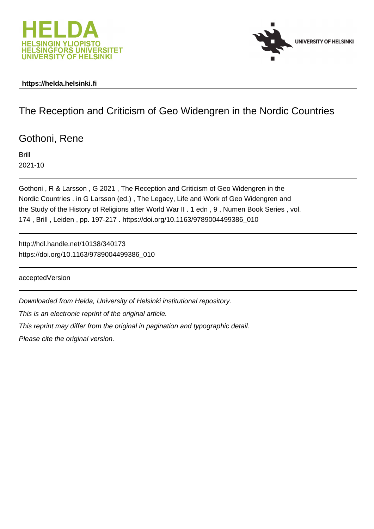



### **https://helda.helsinki.fi**

## The Reception and Criticism of Geo Widengren in the Nordic Countries

Gothoni, Rene

Brill 2021-10

Gothoni , R & Larsson , G 2021 , The Reception and Criticism of Geo Widengren in the Nordic Countries . in G Larsson (ed.) , The Legacy, Life and Work of Geo Widengren and the Study of the History of Religions after World War II . 1 edn , 9 , Numen Book Series , vol. 174 , Brill , Leiden , pp. 197-217 . https://doi.org/10.1163/9789004499386\_010

http://hdl.handle.net/10138/340173 https://doi.org/10.1163/9789004499386\_010

acceptedVersion

Downloaded from Helda, University of Helsinki institutional repository.

This is an electronic reprint of the original article.

This reprint may differ from the original in pagination and typographic detail.

Please cite the original version.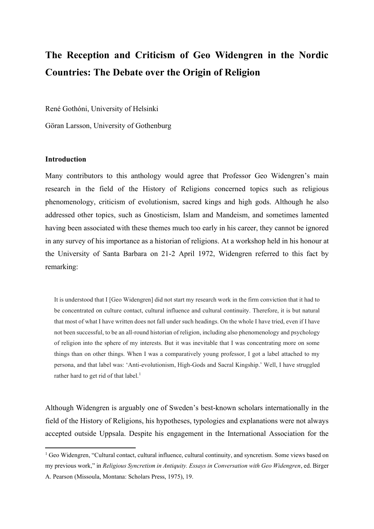# **The Reception and Criticism of Geo Widengren in the Nordic Countries: The Debate over the Origin of Religion**

René Gothóni, University of Helsinki

Göran Larsson, University of Gothenburg

#### **Introduction**

Many contributors to this anthology would agree that Professor Geo Widengren's main research in the field of the History of Religions concerned topics such as religious phenomenology, criticism of evolutionism, sacred kings and high gods. Although he also addressed other topics, such as Gnosticism, Islam and Mandeism, and sometimes lamented having been associated with these themes much too early in his career, they cannot be ignored in any survey of his importance as a historian of religions. At a workshop held in his honour at the University of Santa Barbara on 21-2 April 1972, Widengren referred to this fact by remarking:

It is understood that I [Geo Widengren] did not start my research work in the firm conviction that it had to be concentrated on culture contact, cultural influence and cultural continuity. Therefore, it is but natural that most of what I have written does not fall under such headings. On the whole I have tried, even if I have not been successful, to be an all-round historian of religion, including also phenomenology and psychology of religion into the sphere of my interests. But it was inevitable that I was concentrating more on some things than on other things. When I was a comparatively young professor, I got a label attached to my persona, and that label was: 'Anti-evolutionism, High-Gods and Sacral Kingship.' Well, I have struggled rather hard to get rid of that label.<sup>1</sup>

Although Widengren is arguably one of Sweden's best-known scholars internationally in the field of the History of Religions, his hypotheses, typologies and explanations were not always accepted outside Uppsala. Despite his engagement in the International Association for the

<sup>&</sup>lt;sup>1</sup> Geo Widengren, "Cultural contact, cultural influence, cultural continuity, and syncretism. Some views based on my previous work," in *Religious Syncretism in Antiquity. Essays in Conversation with Geo Widengren*, ed. Birger A. Pearson (Missoula, Montana: Scholars Press, 1975), 19.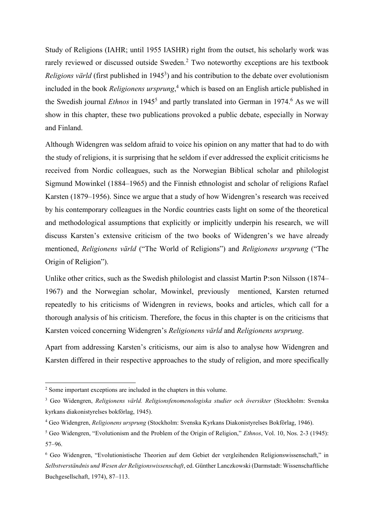Study of Religions (IAHR; until 1955 IASHR) right from the outset, his scholarly work was rarely reviewed or discussed outside Sweden.<sup>2</sup> Two noteworthy exceptions are his textbook *Religions värld* (first published in 1945<sup>3</sup>) and his contribution to the debate over evolutionism included in the book *Religionens ursprung*, <sup>4</sup> which is based on an English article published in the Swedish journal *Ethnos* in 1945<sup>5</sup> and partly translated into German in 1974.<sup>6</sup> As we will show in this chapter, these two publications provoked a public debate, especially in Norway and Finland.

Although Widengren was seldom afraid to voice his opinion on any matter that had to do with the study of religions, it is surprising that he seldom if ever addressed the explicit criticisms he received from Nordic colleagues, such as the Norwegian Biblical scholar and philologist Sigmund Mowinkel (1884–1965) and the Finnish ethnologist and scholar of religions Rafael Karsten (1879–1956). Since we argue that a study of how Widengren's research was received by his contemporary colleagues in the Nordic countries casts light on some of the theoretical and methodological assumptions that explicitly or implicitly underpin his research, we will discuss Karsten's extensive criticism of the two books of Widengren's we have already mentioned, *Religionens värld* ("The World of Religions") and *Religionens ursprung* ("The Origin of Religion").

Unlike other critics, such as the Swedish philologist and classist Martin P:son Nilsson (1874– 1967) and the Norwegian scholar, Mowinkel, previously mentioned, Karsten returned repeatedly to his criticisms of Widengren in reviews, books and articles, which call for a thorough analysis of his criticism. Therefore, the focus in this chapter is on the criticisms that Karsten voiced concerning Widengren's *Religionens värld* and *Religionens ursprung*.

Apart from addressing Karsten's criticisms, our aim is also to analyse how Widengren and Karsten differed in their respective approaches to the study of religion, and more specifically

<sup>&</sup>lt;sup>2</sup> Some important exceptions are included in the chapters in this volume.

<sup>3</sup> Geo Widengren, *Religionens värld. Religionsfenomenologiska studier och översikter* (Stockholm: Svenska kyrkans diakonistyrelses bokförlag, 1945).

<sup>4</sup> Geo Widengren, *Religionens ursprung* (Stockholm: Svenska Kyrkans Diakonistyrelses Bokförlag, 1946).

<sup>5</sup> Geo Widengren, "Evolutionism and the Problem of the Origin of Religion," *Ethnos*, Vol. 10, Nos. 2-3 (1945): 57–96.

<sup>6</sup> Geo Widengren, "Evolutionistische Theorien auf dem Gebiet der vergleihenden Religionswissenschaft," in *Selbstverständnis und Wesen der Religionswissenschaft*, ed. Günther Lanczkowski (Darmstadt: Wissenschaftliche Buchgesellschaft, 1974), 87–113.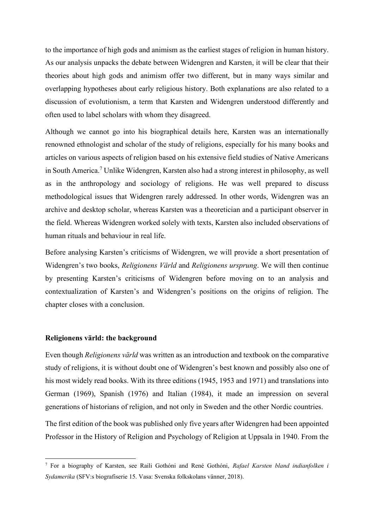to the importance of high gods and animism as the earliest stages of religion in human history. As our analysis unpacks the debate between Widengren and Karsten, it will be clear that their theories about high gods and animism offer two different, but in many ways similar and overlapping hypotheses about early religious history. Both explanations are also related to a discussion of evolutionism, a term that Karsten and Widengren understood differently and often used to label scholars with whom they disagreed.

Although we cannot go into his biographical details here, Karsten was an internationally renowned ethnologist and scholar of the study of religions, especially for his many books and articles on various aspects of religion based on his extensive field studies of Native Americans in South America.<sup>7</sup> Unlike Widengren, Karsten also had a strong interest in philosophy, as well as in the anthropology and sociology of religions. He was well prepared to discuss methodological issues that Widengren rarely addressed. In other words, Widengren was an archive and desktop scholar, whereas Karsten was a theoretician and a participant observer in the field. Whereas Widengren worked solely with texts, Karsten also included observations of human rituals and behaviour in real life.

Before analysing Karsten's criticisms of Widengren, we will provide a short presentation of Widengren's two books, *Religionens Värld* and *Religionens ursprung*. We will then continue by presenting Karsten's criticisms of Widengren before moving on to an analysis and contextualization of Karsten's and Widengren's positions on the origins of religion. The chapter closes with a conclusion.

#### **Religionens värld: the background**

Even though *Religionens värld* was written as an introduction and textbook on the comparative study of religions, it is without doubt one of Widengren's best known and possibly also one of his most widely read books. With its three editions (1945, 1953 and 1971) and translations into German (1969), Spanish (1976) and Italian (1984), it made an impression on several generations of historians of religion, and not only in Sweden and the other Nordic countries.

The first edition of the book was published only five years after Widengren had been appointed Professor in the History of Religion and Psychology of Religion at Uppsala in 1940. From the

<sup>7</sup> For a biography of Karsten, see Raili Gothóni and René Gothóni, *Rafael Karsten bland indianfolken i Sydamerika* (SFV:s biografiserie 15. Vasa: Svenska folkskolans vänner, 2018).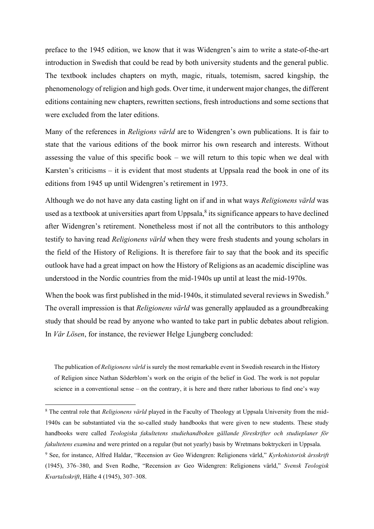preface to the 1945 edition, we know that it was Widengren's aim to write a state-of-the-art introduction in Swedish that could be read by both university students and the general public. The textbook includes chapters on myth, magic, rituals, totemism, sacred kingship, the phenomenology of religion and high gods. Over time, it underwent major changes, the different editions containing new chapters, rewritten sections, fresh introductions and some sections that were excluded from the later editions.

Many of the references in *Religions värld* are to Widengren's own publications. It is fair to state that the various editions of the book mirror his own research and interests. Without assessing the value of this specific book – we will return to this topic when we deal with Karsten's criticisms – it is evident that most students at Uppsala read the book in one of its editions from 1945 up until Widengren's retirement in 1973.

Although we do not have any data casting light on if and in what ways *Religionens värld* was used as a textbook at universities apart from Uppsala, $\delta$  its significance appears to have declined after Widengren's retirement. Nonetheless most if not all the contributors to this anthology testify to having read *Religionens värld* when they were fresh students and young scholars in the field of the History of Religions. It is therefore fair to say that the book and its specific outlook have had a great impact on how the History of Religions as an academic discipline was understood in the Nordic countries from the mid-1940s up until at least the mid-1970s.

When the book was first published in the mid-1940s, it stimulated several reviews in Swedish.<sup>9</sup> The overall impression is that *Religionens värld* was generally applauded as a groundbreaking study that should be read by anyone who wanted to take part in public debates about religion. In *Vår Lösen*, for instance, the reviewer Helge Ljungberg concluded:

The publication of *Religionens värld* is surely the most remarkable event in Swedish research in the History of Religion since Nathan Söderblom's work on the origin of the belief in God. The work is not popular science in a conventional sense – on the contrary, it is here and there rather laborious to find one's way

*Kvartalsskrift*, Häfte 4 (1945), 307–308.

<sup>&</sup>lt;sup>8</sup> The central role that *Religionens värld* played in the Faculty of Theology at Uppsala University from the mid-1940s can be substantiated via the so-called study handbooks that were given to new students. These study handbooks were called *Teologiska fakultetens studiehandboken gällande föreskrifter och studieplaner för fakultetens examina* and were printed on a regular (but not yearly) basis by Wretmans boktryckeri in Uppsala. <sup>9</sup> See, for instance, Alfred Haldar, "Recension av Geo Widengren: Religionens värld," *Kyrkohistorisk årsskrift* (1945), 376–380, and Sven Rodhe, "Recension av Geo Widengren: Religionens värld," *Svensk Teologisk*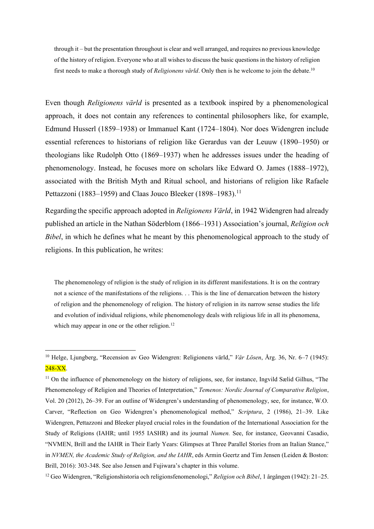through it – but the presentation throughout is clear and well arranged, and requires no previous knowledge of the history of religion. Everyone who at all wishes to discuss the basic questions in the history of religion first needs to make a thorough study of *Religionens värld*. Only then is he welcome to join the debate.<sup>10</sup>

Even though *Religionens värld* is presented as a textbook inspired by a phenomenological approach, it does not contain any references to continental philosophers like, for example, Edmund Husserl (1859–1938) or Immanuel Kant (1724–1804). Nor does Widengren include essential references to historians of religion like Gerardus van der Leuuw (1890–1950) or theologians like Rudolph Otto (1869–1937) when he addresses issues under the heading of phenomenology. Instead, he focuses more on scholars like Edward O. James (1888–1972), associated with the British Myth and Ritual school, and historians of religion like Rafaele Pettazzoni (1883–1959) and Claas Jouco Bleeker (1898–1983).<sup>11</sup>

Regarding the specific approach adopted in *Religionens Värld*, in 1942 Widengren had already published an article in the Nathan Söderblom (1866–1931) Association's journal, *Religion och Bibel*, in which he defines what he meant by this phenomenological approach to the study of religions. In this publication, he writes:

The phenomenology of religion is the study of religion in its different manifestations. It is on the contrary not a science of the manifestations of the religions. . . This is the line of demarcation between the history of religion and the phenomenology of religion. The history of religion in its narrow sense studies the life and evolution of individual religions, while phenomenology deals with religious life in all its phenomena, which may appear in one or the other religion.<sup>12</sup>

<sup>10</sup> Helge, Ljungberg, "Recension av Geo Widengren: Religionens värld," *Vår Lösen*, Årg. 36, Nr. 6–7 (1945): 248-XX.

<sup>&</sup>lt;sup>11</sup> On the influence of phenomenology on the history of religions, see, for instance, Ingvild Sælid Gilhus, "The Phenomenology of Religion and Theories of Interpretation," *Temenos: Nordic Journal of Comparative Religion*, Vol. 20 (2012), 26–39. For an outline of Widengren's understanding of phenomenology, see, for instance, W.O. Carver, "Reflection on Geo Widengren's phenomenological method," *Scriptura*, 2 (1986), 21–39. Like Widengren, Pettazzoni and Bleeker played crucial roles in the foundation of the International Association for the Study of Religions (IAHR; until 1955 IASHR) and its journal *Numen.* See, for instance, Geovanni Casadio, "NVMEN, Brill and the IAHR in Their Early Years: Glimpses at Three Parallel Stories from an Italian Stance," in *NVMEN, the Academic Study of Religion, and the IAHR*, eds Armin Geertz and Tim Jensen (Leiden & Boston: Brill, 2016): 303-348. See also Jensen and Fujiwara's chapter in this volume.

<sup>12</sup> Geo Widengren, "Religionshistoria och religionsfenomenologi," *Religion och Bibel*, 1 årgången (1942): 21–25.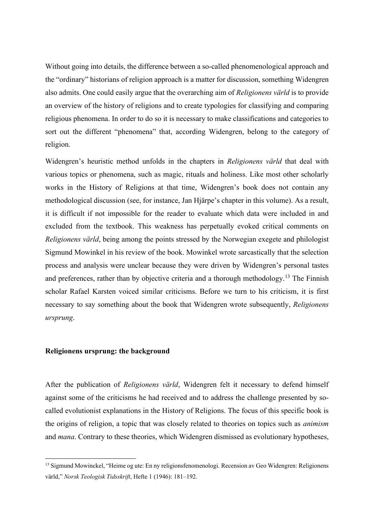Without going into details, the difference between a so-called phenomenological approach and the "ordinary" historians of religion approach is a matter for discussion, something Widengren also admits. One could easily argue that the overarching aim of *Religionens värld* is to provide an overview of the history of religions and to create typologies for classifying and comparing religious phenomena. In order to do so it is necessary to make classifications and categories to sort out the different "phenomena" that, according Widengren, belong to the category of religion.

Widengren's heuristic method unfolds in the chapters in *Religionens värld* that deal with various topics or phenomena, such as magic, rituals and holiness. Like most other scholarly works in the History of Religions at that time, Widengren's book does not contain any methodological discussion (see, for instance, Jan Hjärpe's chapter in this volume). As a result, it is difficult if not impossible for the reader to evaluate which data were included in and excluded from the textbook. This weakness has perpetually evoked critical comments on *Religionens värld*, being among the points stressed by the Norwegian exegete and philologist Sigmund Mowinkel in his review of the book. Mowinkel wrote sarcastically that the selection process and analysis were unclear because they were driven by Widengren's personal tastes and preferences, rather than by objective criteria and a thorough methodology.<sup>13</sup> The Finnish scholar Rafael Karsten voiced similar criticisms. Before we turn to his criticism, it is first necessary to say something about the book that Widengren wrote subsequently, *Religionens ursprung*.

#### **Religionens ursprung: the background**

After the publication of *Religionens värld*, Widengren felt it necessary to defend himself against some of the criticisms he had received and to address the challenge presented by socalled evolutionist explanations in the History of Religions. The focus of this specific book is the origins of religion, a topic that was closely related to theories on topics such as *animism* and *mana*. Contrary to these theories, which Widengren dismissed as evolutionary hypotheses,

<sup>13</sup> Sigmund Mowinckel, "Heime og ute: En ny religionsfenomenologi. Recension av Geo Widengren: Religionens värld," *Norsk Teologisk Tidsskrift*, Hefte 1 (1946): 181–192.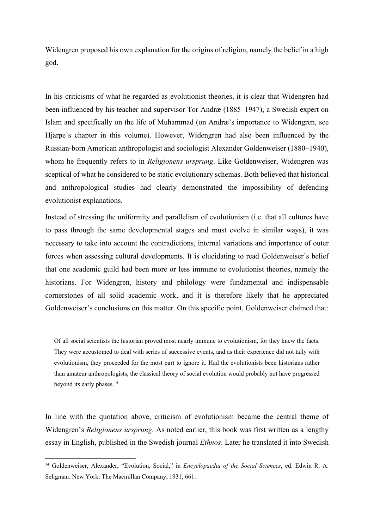Widengren proposed his own explanation for the origins of religion, namely the belief in a high god.

In his criticisms of what he regarded as evolutionist theories, it is clear that Widengren had been influenced by his teacher and supervisor Tor Andræ (1885–1947), a Swedish expert on Islam and specifically on the life of Muhammad (on Andræ's importance to Widengren, see Hjärpe's chapter in this volume). However, Widengren had also been influenced by the Russian-born American anthropologist and sociologist Alexander Goldenweiser (1880–1940), whom he frequently refers to in *Religionens ursprung*. Like Goldenweiser, Widengren was sceptical of what he considered to be static evolutionary schemas. Both believed that historical and anthropological studies had clearly demonstrated the impossibility of defending evolutionist explanations.

Instead of stressing the uniformity and parallelism of evolutionism (i.e. that all cultures have to pass through the same developmental stages and must evolve in similar ways), it was necessary to take into account the contradictions, internal variations and importance of outer forces when assessing cultural developments. It is elucidating to read Goldenweiser's belief that one academic guild had been more or less immune to evolutionist theories, namely the historians. For Widengren, history and philology were fundamental and indispensable cornerstones of all solid academic work, and it is therefore likely that he appreciated Goldenweiser's conclusions on this matter. On this specific point, Goldenweiser claimed that:

Of all social scientists the historian proved most nearly immune to evolutionism, for they knew the facts. They were accustomed to deal with series of successive events, and as their experience did not tally with evolutionism, they proceeded for the most part to ignore it. Had the evolutionists been historians rather than amateur anthropologists, the classical theory of social evolution would probably not have progressed beyond its early phases.<sup>14</sup>

In line with the quotation above, criticism of evolutionism became the central theme of Widengren's *Religionens ursprung*. As noted earlier, this book was first written as a lengthy essay in English, published in the Swedish journal *Ethnos*. Later he translated it into Swedish

<sup>14</sup> Goldenweiser, Alexander, "Evolution, Social," in *Encyclopaedia of the Social Sciences*, ed. Edwin R. A. Seligman. New York: The Macmillan Company, 1931, 661.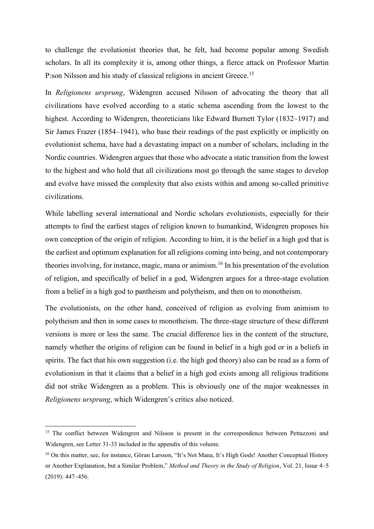to challenge the evolutionist theories that, he felt, had become popular among Swedish scholars. In all its complexity it is, among other things, a fierce attack on Professor Martin P:son Nilsson and his study of classical religions in ancient Greece.<sup>15</sup>

In *Religionens ursprung*, Widengren accused Nilsson of advocating the theory that all civilizations have evolved according to a static schema ascending from the lowest to the highest. According to Widengren, theoreticians like Edward Burnett Tylor (1832–1917) and Sir James Frazer (1854–1941), who base their readings of the past explicitly or implicitly on evolutionist schema, have had a devastating impact on a number of scholars, including in the Nordic countries. Widengren argues that those who advocate a static transition from the lowest to the highest and who hold that all civilizations most go through the same stages to develop and evolve have missed the complexity that also exists within and among so-called primitive civilizations.

While labelling several international and Nordic scholars evolutionists, especially for their attempts to find the earliest stages of religion known to humankind, Widengren proposes his own conception of the origin of religion. According to him, it is the belief in a high god that is the earliest and optimum explanation for all religions coming into being, and not contemporary theories involving, for instance, magic, mana or animism.<sup>16</sup> In his presentation of the evolution of religion, and specifically of belief in a god, Widengren argues for a three-stage evolution from a belief in a high god to pantheism and polytheism, and then on to monotheism.

The evolutionists, on the other hand, conceived of religion as evolving from animism to polytheism and then in some cases to monotheism. The three-stage structure of these different versions is more or less the same. The crucial difference lies in the content of the structure, namely whether the origins of religion can be found in belief in a high god or in a beliefs in spirits. The fact that his own suggestion (i.e. the high god theory) also can be read as a form of evolutionism in that it claims that a belief in a high god exists among all religious traditions did not strike Widengren as a problem. This is obviously one of the major weaknesses in *Religionens ursprung*, which Widengren's critics also noticed.

<sup>&</sup>lt;sup>15</sup> The conflict between Widengren and Nilsson is present in the correspondence between Pettazzoni and Widengren, see Letter 31-33 included in the appendix of this volume.

<sup>&</sup>lt;sup>16</sup> On this matter, see, for instance, Göran Larsson, "It's Not Mana, It's High Gods! Another Conceptual History or Another Explanation, but a Similar Problem," *Method and Theory in the Study of Religion*, Vol. 21, Issue 4–5 (2019): 447–456.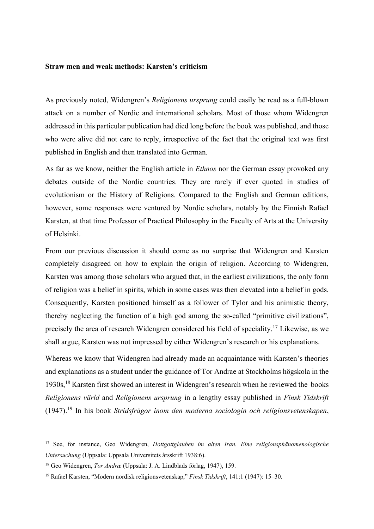#### **Straw men and weak methods: Karsten's criticism**

As previously noted, Widengren's *Religionens ursprung* could easily be read as a full-blown attack on a number of Nordic and international scholars. Most of those whom Widengren addressed in this particular publication had died long before the book was published, and those who were alive did not care to reply, irrespective of the fact that the original text was first published in English and then translated into German.

As far as we know, neither the English article in *Ethnos* nor the German essay provoked any debates outside of the Nordic countries. They are rarely if ever quoted in studies of evolutionism or the History of Religions. Compared to the English and German editions, however, some responses were ventured by Nordic scholars, notably by the Finnish Rafael Karsten, at that time Professor of Practical Philosophy in the Faculty of Arts at the University of Helsinki.

From our previous discussion it should come as no surprise that Widengren and Karsten completely disagreed on how to explain the origin of religion. According to Widengren, Karsten was among those scholars who argued that, in the earliest civilizations, the only form of religion was a belief in spirits, which in some cases was then elevated into a belief in gods. Consequently, Karsten positioned himself as a follower of Tylor and his animistic theory, thereby neglecting the function of a high god among the so-called "primitive civilizations", precisely the area of research Widengren considered his field of speciality.<sup>17</sup> Likewise, as we shall argue, Karsten was not impressed by either Widengren's research or his explanations.

Whereas we know that Widengren had already made an acquaintance with Karsten's theories and explanations as a student under the guidance of Tor Andrae at Stockholms högskola in the 1930s,<sup>18</sup> Karsten first showed an interest in Widengren's research when he reviewed the books *Religionens värld* and *Religionens ursprung* in a lengthy essay published in *Finsk Tidskrift* (1947).<sup>19</sup> In his book *Stridsfrågor inom den moderna sociologin och religionsvetenskapen*,

<sup>17</sup> See, for instance, Geo Widengren, *Hottgottglauben im alten Iran. Eine religionsphänomenologische Untersuchung* (Uppsala: Uppsala Universitets årsskrift 1938:6).

<sup>18</sup> Geo Widengren, *Tor Andræ* (Uppsala: J. A. Lindblads förlag, 1947), 159.

<sup>19</sup> Rafael Karsten, "Modern nordisk religionsvetenskap," *Finsk Tidskrift*, 141:1 (1947): 15–30.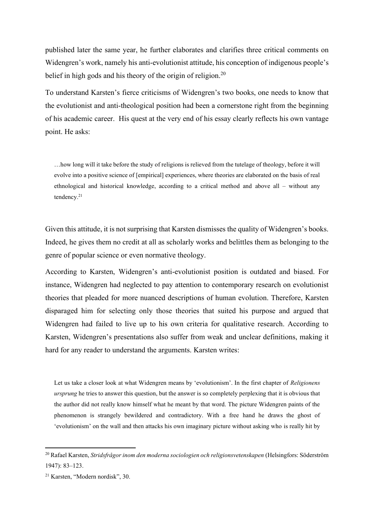published later the same year, he further elaborates and clarifies three critical comments on Widengren's work, namely his anti-evolutionist attitude, his conception of indigenous people's belief in high gods and his theory of the origin of religion.<sup>20</sup>

To understand Karsten's fierce criticisms of Widengren's two books, one needs to know that the evolutionist and anti-theological position had been a cornerstone right from the beginning of his academic career. His quest at the very end of his essay clearly reflects his own vantage point. He asks:

…how long will it take before the study of religions is relieved from the tutelage of theology, before it will evolve into a positive science of [empirical] experiences, where theories are elaborated on the basis of real ethnological and historical knowledge, according to a critical method and above all – without any tendency.<sup>21</sup>

Given this attitude, it is not surprising that Karsten dismisses the quality of Widengren's books. Indeed, he gives them no credit at all as scholarly works and belittles them as belonging to the genre of popular science or even normative theology.

According to Karsten, Widengren's anti-evolutionist position is outdated and biased. For instance, Widengren had neglected to pay attention to contemporary research on evolutionist theories that pleaded for more nuanced descriptions of human evolution. Therefore, Karsten disparaged him for selecting only those theories that suited his purpose and argued that Widengren had failed to live up to his own criteria for qualitative research. According to Karsten, Widengren's presentations also suffer from weak and unclear definitions, making it hard for any reader to understand the arguments. Karsten writes:

Let us take a closer look at what Widengren means by 'evolutionism'. In the first chapter of *Religionens ursprung* he tries to answer this question, but the answer is so completely perplexing that it is obvious that the author did not really know himself what he meant by that word. The picture Widengren paints of the phenomenon is strangely bewildered and contradictory. With a free hand he draws the ghost of 'evolutionism' on the wall and then attacks his own imaginary picture without asking who is really hit by

<sup>20</sup> Rafael Karsten, *Stridsfrågor inom den moderna sociologien och religionsvetenskapen* (Helsingfors: Söderström 1947): 83–123.

<sup>21</sup> Karsten, "Modern nordisk", 30.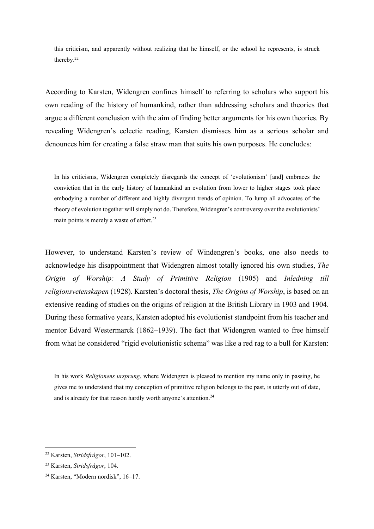this criticism, and apparently without realizing that he himself, or the school he represents, is struck thereby.<sup>22</sup>

According to Karsten, Widengren confines himself to referring to scholars who support his own reading of the history of humankind, rather than addressing scholars and theories that argue a different conclusion with the aim of finding better arguments for his own theories. By revealing Widengren's eclectic reading, Karsten dismisses him as a serious scholar and denounces him for creating a false straw man that suits his own purposes. He concludes:

In his criticisms, Widengren completely disregards the concept of 'evolutionism' [and] embraces the conviction that in the early history of humankind an evolution from lower to higher stages took place embodying a number of different and highly divergent trends of opinion. To lump all advocates of the theory of evolution together will simply not do. Therefore, Widengren's controversy over the evolutionists' main points is merely a waste of effort.<sup>23</sup>

However, to understand Karsten's review of Windengren's books, one also needs to acknowledge his disappointment that Widengren almost totally ignored his own studies, *The Origin of Worship: A Study of Primitive Religion* (1905) and *Inledning till religionsvetenskapen* (1928). Karsten's doctoral thesis, *The Origins of Worship*, is based on an extensive reading of studies on the origins of religion at the British Library in 1903 and 1904. During these formative years, Karsten adopted his evolutionist standpoint from his teacher and mentor Edvard Westermarck (1862–1939). The fact that Widengren wanted to free himself from what he considered "rigid evolutionistic schema" was like a red rag to a bull for Karsten:

In his work *Religionens ursprung*, where Widengren is pleased to mention my name only in passing, he gives me to understand that my conception of primitive religion belongs to the past, is utterly out of date, and is already for that reason hardly worth anyone's attention.<sup>24</sup>

<sup>22</sup> Karsten, *Stridsfrågor*, 101–102.

<sup>23</sup> Karsten, *Stridsfrågor*, 104.

<sup>24</sup> Karsten, "Modern nordisk", 16–17.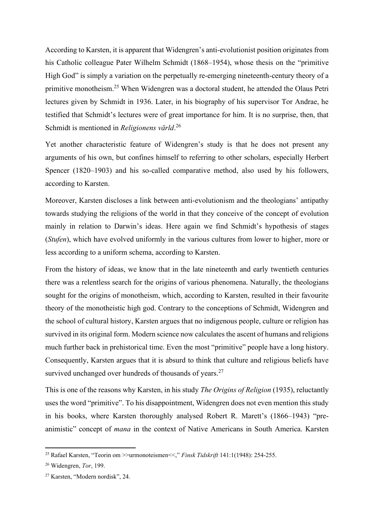According to Karsten, it is apparent that Widengren's anti-evolutionist position originates from his Catholic colleague Pater Wilhelm Schmidt (1868–1954), whose thesis on the "primitive High God" is simply a variation on the perpetually re-emerging nineteenth-century theory of a primitive monotheism.<sup>25</sup> When Widengren was a doctoral student, he attended the Olaus Petri lectures given by Schmidt in 1936. Later, in his biography of his supervisor Tor Andrae, he testified that Schmidt's lectures were of great importance for him. It is no surprise, then, that Schmidt is mentioned in *Religionens värld*. 26

Yet another characteristic feature of Widengren's study is that he does not present any arguments of his own, but confines himself to referring to other scholars, especially Herbert Spencer (1820–1903) and his so-called comparative method, also used by his followers, according to Karsten.

Moreover, Karsten discloses a link between anti-evolutionism and the theologians' antipathy towards studying the religions of the world in that they conceive of the concept of evolution mainly in relation to Darwin's ideas. Here again we find Schmidt's hypothesis of stages (*Stufen*), which have evolved uniformly in the various cultures from lower to higher, more or less according to a uniform schema, according to Karsten.

From the history of ideas, we know that in the late nineteenth and early twentieth centuries there was a relentless search for the origins of various phenomena. Naturally, the theologians sought for the origins of monotheism, which, according to Karsten, resulted in their favourite theory of the monotheistic high god. Contrary to the conceptions of Schmidt, Widengren and the school of cultural history, Karsten argues that no indigenous people, culture or religion has survived in its original form. Modern science now calculates the ascent of humans and religions much further back in prehistorical time. Even the most "primitive" people have a long history. Consequently, Karsten argues that it is absurd to think that culture and religious beliefs have survived unchanged over hundreds of thousands of years.<sup>27</sup>

This is one of the reasons why Karsten, in his study *The Origins of Religion* (1935), reluctantly uses the word "primitive". To his disappointment, Widengren does not even mention this study in his books, where Karsten thoroughly analysed Robert R. Marett's (1866–1943) "preanimistic" concept of *mana* in the context of Native Americans in South America. Karsten

<sup>25</sup> Rafael Karsten, "Teorin om >>urmonoteismen<<," *Finsk Tidskrift* 141:1(1948): 254-255.

<sup>26</sup> Widengren, *Tor*, 199.

<sup>27</sup> Karsten, "Modern nordisk", 24.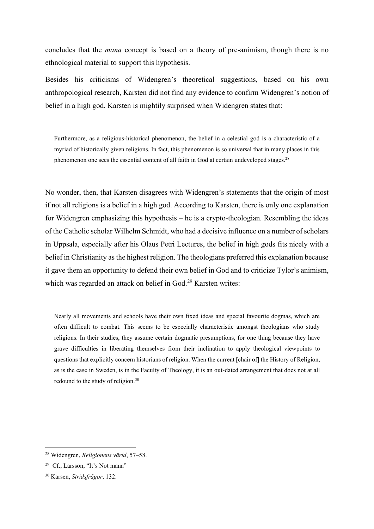concludes that the *mana* concept is based on a theory of pre-animism, though there is no ethnological material to support this hypothesis.

Besides his criticisms of Widengren's theoretical suggestions, based on his own anthropological research, Karsten did not find any evidence to confirm Widengren's notion of belief in a high god. Karsten is mightily surprised when Widengren states that:

Furthermore, as a religious-historical phenomenon, the belief in a celestial god is a characteristic of a myriad of historically given religions. In fact, this phenomenon is so universal that in many places in this phenomenon one sees the essential content of all faith in God at certain undeveloped stages.<sup>28</sup>

No wonder, then, that Karsten disagrees with Widengren's statements that the origin of most if not all religions is a belief in a high god. According to Karsten, there is only one explanation for Widengren emphasizing this hypothesis – he is a crypto-theologian. Resembling the ideas of the Catholic scholar Wilhelm Schmidt, who had a decisive influence on a number of scholars in Uppsala, especially after his Olaus Petri Lectures, the belief in high gods fits nicely with a belief in Christianity as the highest religion. The theologians preferred this explanation because it gave them an opportunity to defend their own belief in God and to criticize Tylor's animism, which was regarded an attack on belief in God.<sup>29</sup> Karsten writes:

Nearly all movements and schools have their own fixed ideas and special favourite dogmas, which are often difficult to combat. This seems to be especially characteristic amongst theologians who study religions. In their studies, they assume certain dogmatic presumptions, for one thing because they have grave difficulties in liberating themselves from their inclination to apply theological viewpoints to questions that explicitly concern historians of religion. When the current [chair of] the History of Religion, as is the case in Sweden, is in the Faculty of Theology, it is an out-dated arrangement that does not at all redound to the study of religion.<sup>30</sup>

<sup>28</sup> Widengren, *Religionens värld*, 57–58.

<sup>29</sup> Cf., Larsson, "It's Not mana"

<sup>30</sup> Karsen, *Stridsfrågor*, 132.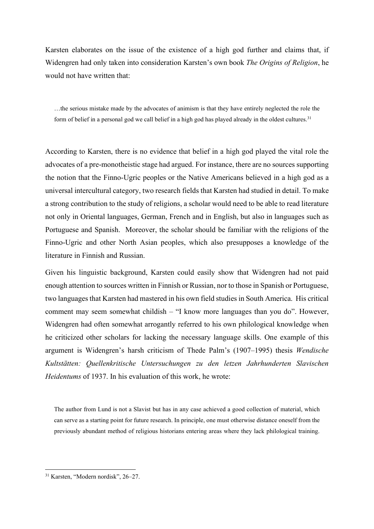Karsten elaborates on the issue of the existence of a high god further and claims that, if Widengren had only taken into consideration Karsten's own book *The Origins of Religion*, he would not have written that:

…the serious mistake made by the advocates of animism is that they have entirely neglected the role the form of belief in a personal god we call belief in a high god has played already in the oldest cultures.<sup>31</sup>

According to Karsten, there is no evidence that belief in a high god played the vital role the advocates of a pre-monotheistic stage had argued. For instance, there are no sources supporting the notion that the Finno-Ugric peoples or the Native Americans believed in a high god as a universal intercultural category, two research fields that Karsten had studied in detail. To make a strong contribution to the study of religions, a scholar would need to be able to read literature not only in Oriental languages, German, French and in English, but also in languages such as Portuguese and Spanish. Moreover, the scholar should be familiar with the religions of the Finno-Ugric and other North Asian peoples, which also presupposes a knowledge of the literature in Finnish and Russian.

Given his linguistic background, Karsten could easily show that Widengren had not paid enough attention to sources written in Finnish or Russian, nor to those in Spanish or Portuguese, two languages that Karsten had mastered in his own field studies in South America. His critical comment may seem somewhat childish – "I know more languages than you do". However, Widengren had often somewhat arrogantly referred to his own philological knowledge when he criticized other scholars for lacking the necessary language skills. One example of this argument is Widengren's harsh criticism of Thede Palm's (1907–1995) thesis *Wendische Kultstätten: Quellenkritische Untersuchungen zu den letzen Jahrhunderten Slavischen Heidentums* of 1937. In his evaluation of this work, he wrote:

The author from Lund is not a Slavist but has in any case achieved a good collection of material, which can serve as a starting point for future research. In principle, one must otherwise distance oneself from the previously abundant method of religious historians entering areas where they lack philological training.

<sup>31</sup> Karsten, "Modern nordisk", 26–27.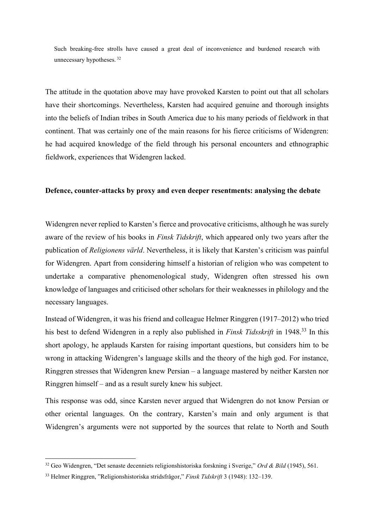Such breaking-free strolls have caused a great deal of inconvenience and burdened research with unnecessary hypotheses. <sup>32</sup>

The attitude in the quotation above may have provoked Karsten to point out that all scholars have their shortcomings. Nevertheless, Karsten had acquired genuine and thorough insights into the beliefs of Indian tribes in South America due to his many periods of fieldwork in that continent. That was certainly one of the main reasons for his fierce criticisms of Widengren: he had acquired knowledge of the field through his personal encounters and ethnographic fieldwork, experiences that Widengren lacked.

#### **Defence, counter-attacks by proxy and even deeper resentments: analysing the debate**

Widengren never replied to Karsten's fierce and provocative criticisms, although he was surely aware of the review of his books in *Finsk Tidskrift*, which appeared only two years after the publication of *Religionens värld*. Nevertheless, it is likely that Karsten's criticism was painful for Widengren. Apart from considering himself a historian of religion who was competent to undertake a comparative phenomenological study, Widengren often stressed his own knowledge of languages and criticised other scholars for their weaknesses in philology and the necessary languages.

Instead of Widengren, it was his friend and colleague Helmer Ringgren (1917–2012) who tried his best to defend Widengren in a reply also published in *Finsk Tidsskrift* in 1948.<sup>33</sup> In this short apology, he applauds Karsten for raising important questions, but considers him to be wrong in attacking Widengren's language skills and the theory of the high god. For instance, Ringgren stresses that Widengren knew Persian – a language mastered by neither Karsten nor Ringgren himself – and as a result surely knew his subject.

This response was odd, since Karsten never argued that Widengren do not know Persian or other oriental languages. On the contrary, Karsten's main and only argument is that Widengren's arguments were not supported by the sources that relate to North and South

<sup>32</sup> Geo Widengren, "Det senaste decenniets religionshistoriska forskning i Sverige," *Ord & Bild* (1945), 561.

<sup>33</sup> Helmer Ringgren, "Religionshistoriska stridsfrågor," *Finsk Tidskrift* 3 (1948): 132–139.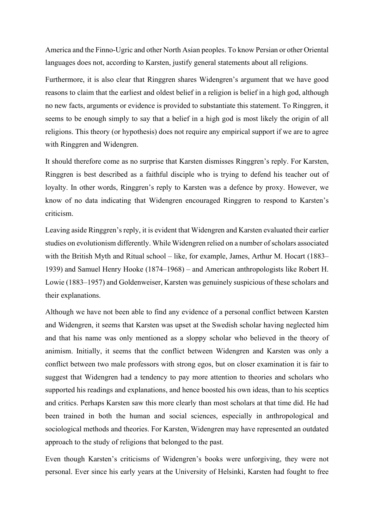America and the Finno-Ugric and other North Asian peoples. To know Persian or other Oriental languages does not, according to Karsten, justify general statements about all religions.

Furthermore, it is also clear that Ringgren shares Widengren's argument that we have good reasons to claim that the earliest and oldest belief in a religion is belief in a high god, although no new facts, arguments or evidence is provided to substantiate this statement. To Ringgren, it seems to be enough simply to say that a belief in a high god is most likely the origin of all religions. This theory (or hypothesis) does not require any empirical support if we are to agree with Ringgren and Widengren.

It should therefore come as no surprise that Karsten dismisses Ringgren's reply. For Karsten, Ringgren is best described as a faithful disciple who is trying to defend his teacher out of loyalty. In other words, Ringgren's reply to Karsten was a defence by proxy. However, we know of no data indicating that Widengren encouraged Ringgren to respond to Karsten's criticism.

Leaving aside Ringgren's reply, it is evident that Widengren and Karsten evaluated their earlier studies on evolutionism differently. While Widengren relied on a number of scholars associated with the British Myth and Ritual school – like, for example, James, Arthur M. Hocart (1883– 1939) and Samuel Henry Hooke (1874–1968) – and American anthropologists like Robert H. Lowie (1883–1957) and Goldenweiser, Karsten was genuinely suspicious of these scholars and their explanations.

Although we have not been able to find any evidence of a personal conflict between Karsten and Widengren, it seems that Karsten was upset at the Swedish scholar having neglected him and that his name was only mentioned as a sloppy scholar who believed in the theory of animism. Initially, it seems that the conflict between Widengren and Karsten was only a conflict between two male professors with strong egos, but on closer examination it is fair to suggest that Widengren had a tendency to pay more attention to theories and scholars who supported his readings and explanations, and hence boosted his own ideas, than to his sceptics and critics. Perhaps Karsten saw this more clearly than most scholars at that time did. He had been trained in both the human and social sciences, especially in anthropological and sociological methods and theories. For Karsten, Widengren may have represented an outdated approach to the study of religions that belonged to the past.

Even though Karsten's criticisms of Widengren's books were unforgiving, they were not personal. Ever since his early years at the University of Helsinki, Karsten had fought to free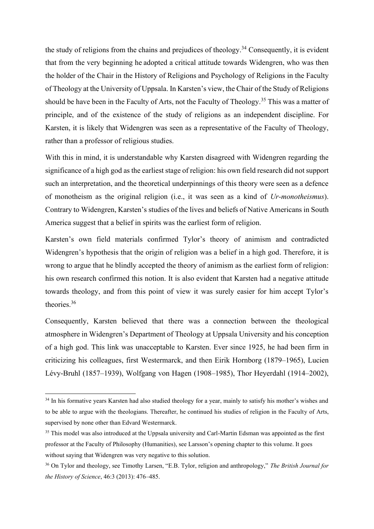the study of religions from the chains and prejudices of theology.<sup>34</sup> Consequently, it is evident that from the very beginning he adopted a critical attitude towards Widengren, who was then the holder of the Chair in the History of Religions and Psychology of Religions in the Faculty of Theology at the University of Uppsala. In Karsten's view, the Chair of the Study of Religions should be have been in the Faculty of Arts, not the Faculty of Theology.<sup>35</sup> This was a matter of principle, and of the existence of the study of religions as an independent discipline. For Karsten, it is likely that Widengren was seen as a representative of the Faculty of Theology, rather than a professor of religious studies.

With this in mind, it is understandable why Karsten disagreed with Widengren regarding the significance of a high god as the earliest stage of religion: his own field research did not support such an interpretation, and the theoretical underpinnings of this theory were seen as a defence of monotheism as the original religion (i.e., it was seen as a kind of *Ur-monotheismus*). Contrary to Widengren, Karsten's studies of the lives and beliefs of Native Americans in South America suggest that a belief in spirits was the earliest form of religion.

Karsten's own field materials confirmed Tylor's theory of animism and contradicted Widengren's hypothesis that the origin of religion was a belief in a high god. Therefore, it is wrong to argue that he blindly accepted the theory of animism as the earliest form of religion: his own research confirmed this notion. It is also evident that Karsten had a negative attitude towards theology, and from this point of view it was surely easier for him accept Tylor's theories.<sup>36</sup>

Consequently, Karsten believed that there was a connection between the theological atmosphere in Widengren's Department of Theology at Uppsala University and his conception of a high god. This link was unacceptable to Karsten. Ever since 1925, he had been firm in criticizing his colleagues, first Westermarck, and then Eirik Hornborg (1879–1965), Lucien Lévy-Bruhl (1857–1939), Wolfgang von Hagen (1908–1985), Thor Heyerdahl (1914–2002),

<sup>&</sup>lt;sup>34</sup> In his formative years Karsten had also studied theology for a year, mainly to satisfy his mother's wishes and to be able to argue with the theologians. Thereafter, he continued his studies of religion in the Faculty of Arts, supervised by none other than Edvard Westermarck.

<sup>&</sup>lt;sup>35</sup> This model was also introduced at the Uppsala university and Carl-Martin Edsman was appointed as the first professor at the Faculty of Philosophy (Humanities), see Larsson's opening chapter to this volume. It goes without saying that Widengren was very negative to this solution.

<sup>36</sup> On Tylor and theology, see Timothy Larsen, "E.B. Tylor, religion and anthropology," *The British Journal for the History of Science*, 46:3 (2013): 476–485.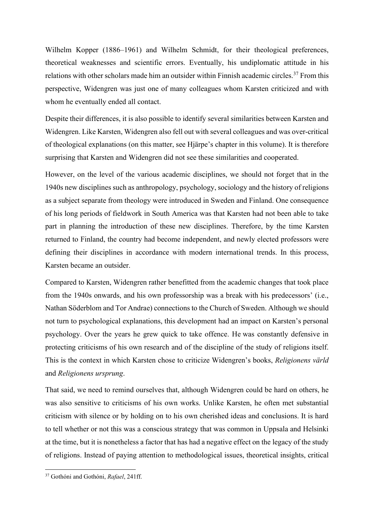Wilhelm Kopper (1886–1961) and Wilhelm Schmidt, for their theological preferences, theoretical weaknesses and scientific errors. Eventually, his undiplomatic attitude in his relations with other scholars made him an outsider within Finnish academic circles.<sup>37</sup> From this perspective, Widengren was just one of many colleagues whom Karsten criticized and with whom he eventually ended all contact.

Despite their differences, it is also possible to identify several similarities between Karsten and Widengren. Like Karsten, Widengren also fell out with several colleagues and was over-critical of theological explanations (on this matter, see Hjärpe's chapter in this volume). It is therefore surprising that Karsten and Widengren did not see these similarities and cooperated.

However, on the level of the various academic disciplines, we should not forget that in the 1940s new disciplines such as anthropology, psychology, sociology and the history of religions as a subject separate from theology were introduced in Sweden and Finland. One consequence of his long periods of fieldwork in South America was that Karsten had not been able to take part in planning the introduction of these new disciplines. Therefore, by the time Karsten returned to Finland, the country had become independent, and newly elected professors were defining their disciplines in accordance with modern international trends. In this process, Karsten became an outsider.

Compared to Karsten, Widengren rather benefitted from the academic changes that took place from the 1940s onwards, and his own professorship was a break with his predecessors' (i.e., Nathan Söderblom and Tor Andrae) connections to the Church of Sweden. Although we should not turn to psychological explanations, this development had an impact on Karsten's personal psychology. Over the years he grew quick to take offence. He was constantly defensive in protecting criticisms of his own research and of the discipline of the study of religions itself. This is the context in which Karsten chose to criticize Widengren's books, *Religionens värld* and *Religionens ursprung*.

That said, we need to remind ourselves that, although Widengren could be hard on others, he was also sensitive to criticisms of his own works. Unlike Karsten, he often met substantial criticism with silence or by holding on to his own cherished ideas and conclusions. It is hard to tell whether or not this was a conscious strategy that was common in Uppsala and Helsinki at the time, but it is nonetheless a factor that has had a negative effect on the legacy of the study of religions. Instead of paying attention to methodological issues, theoretical insights, critical

<sup>37</sup> Gothóni and Gothóni, *Rafael*, 241ff.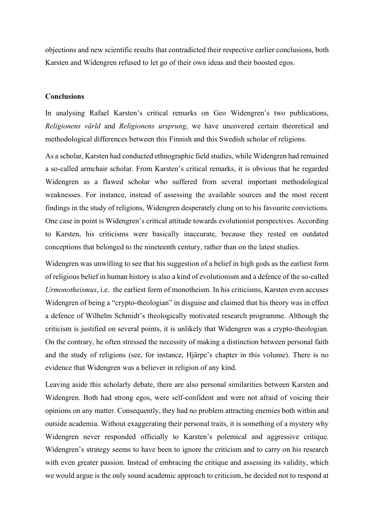objections and new scientific results that contradicted their respective earlier conclusions, both Karsten and Widengren refused to let go of their own ideas and their boosted egos.

#### **Conclusions**

In analysing Rafael Karsten's critical remarks on Geo Widengren's two publications, *Religionens värld* and *Religionens ursprung*, we have uncovered certain theoretical and methodological differences between this Finnish and this Swedish scholar of religions.

As a scholar, Karsten had conducted ethnographic field studies, while Widengren had remained a so-called armchair scholar. From Karsten's critical remarks, it is obvious that he regarded Widengren as a flawed scholar who suffered from several important methodological weaknesses. For instance, instead of assessing the available sources and the most recent findings in the study of religions, Widengren desperately clung on to his favourite convictions. One case in point is Widengren's critical attitude towards evolutionist perspectives. According to Karsten, his criticisms were basically inaccurate, because they rested on outdated conceptions that belonged to the nineteenth century, rather than on the latest studies.

Widengren was unwilling to see that his suggestion of a belief in high gods as the earliest form of religious belief in human history is also a kind of evolutionism and a defence of the so-called *Urmonotheismus*, i.e. the earliest form of monotheism. In his criticisms, Karsten even accuses Widengren of being a "crypto-theologian" in disguise and claimed that his theory was in effect a defence of Wilhelm Schmidt's theologically motivated research programme. Although the criticism is justified on several points, it is unlikely that Widengren was a crypto-theologian. On the contrary, he often stressed the necessity of making a distinction between personal faith and the study of religions (see, for instance, Hjärpe's chapter in this volume). There is no evidence that Widengren was a believer in religion of any kind.

Leaving aside this scholarly debate, there are also personal similarities between Karsten and Widengren. Both had strong egos, were self-confident and were not afraid of voicing their opinions on any matter. Consequently, they had no problem attracting enemies both within and outside academia. Without exaggerating their personal traits, it is something of a mystery why Widengren never responded officially to Karsten's polemical and aggressive critique. Widengren's strategy seems to have been to ignore the criticism and to carry on his research with even greater passion. Instead of embracing the critique and assessing its validity, which we would argue is the only sound academic approach to criticism, he decided not to respond at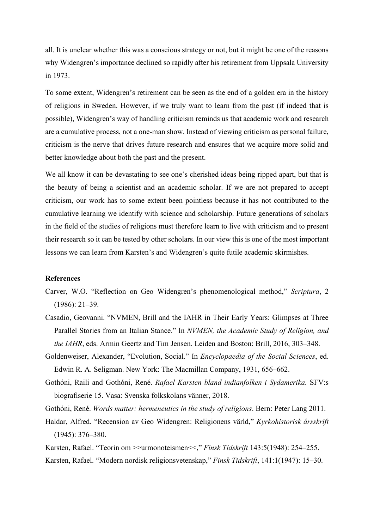all. It is unclear whether this was a conscious strategy or not, but it might be one of the reasons why Widengren's importance declined so rapidly after his retirement from Uppsala University in 1973.

To some extent, Widengren's retirement can be seen as the end of a golden era in the history of religions in Sweden. However, if we truly want to learn from the past (if indeed that is possible), Widengren's way of handling criticism reminds us that academic work and research are a cumulative process, not a one-man show. Instead of viewing criticism as personal failure, criticism is the nerve that drives future research and ensures that we acquire more solid and better knowledge about both the past and the present.

We all know it can be devastating to see one's cherished ideas being ripped apart, but that is the beauty of being a scientist and an academic scholar. If we are not prepared to accept criticism, our work has to some extent been pointless because it has not contributed to the cumulative learning we identify with science and scholarship. Future generations of scholars in the field of the studies of religions must therefore learn to live with criticism and to present their research so it can be tested by other scholars. In our view this is one of the most important lessons we can learn from Karsten's and Widengren's quite futile academic skirmishes.

#### **References**

- Carver, W.O. "Reflection on Geo Widengren's phenomenological method," *Scriptura*, 2 (1986): 21–39.
- Casadio, Geovanni. "NVMEN, Brill and the IAHR in Their Early Years: Glimpses at Three Parallel Stories from an Italian Stance." In *NVMEN, the Academic Study of Religion, and the IAHR*, eds. Armin Geertz and Tim Jensen. Leiden and Boston: Brill, 2016, 303–348.
- Goldenweiser, Alexander, "Evolution, Social." In *Encyclopaedia of the Social Sciences*, ed. Edwin R. A. Seligman. New York: The Macmillan Company, 1931, 656–662.
- Gothóni, Raili and Gothóni, René. *Rafael Karsten bland indianfolken i Sydamerika.* SFV:s biografiserie 15. Vasa: Svenska folkskolans vänner, 2018.
- Gothóni, René. *Words matter: hermeneutics in the study of religions*. Bern: Peter Lang 2011.
- Haldar, Alfred. "Recension av Geo Widengren: Religionens värld," *Kyrkohistorisk årsskrift* (1945): 376–380.
- Karsten, Rafael. "Teorin om >>urmonoteismen<<," *Finsk Tidskrift* 143:5(1948): 254–255. Karsten, Rafael. "Modern nordisk religionsvetenskap," *Finsk Tidskrift*, 141:1(1947): 15–30.